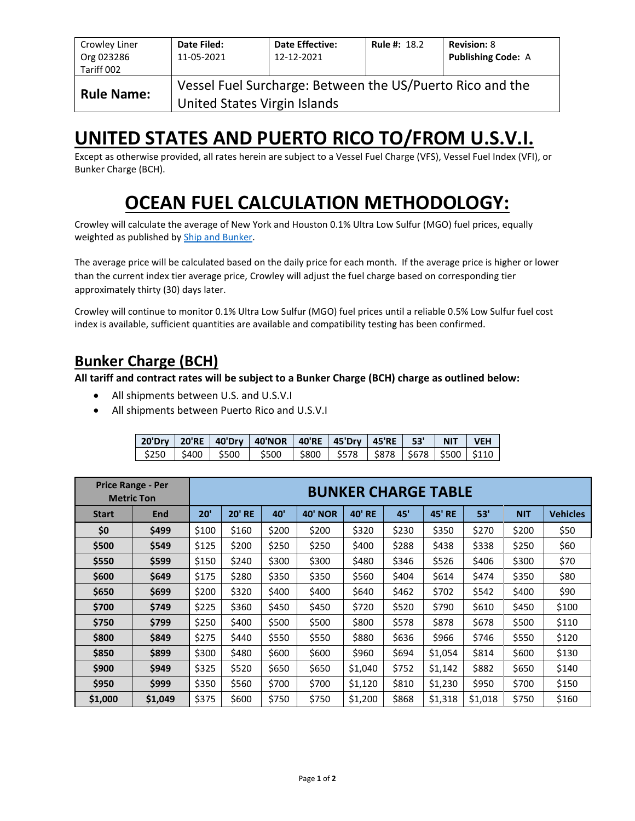| Crowley Liner<br>Org 023286<br>Tariff 002 | Date Filed:<br>11-05-2021                                                                 | <b>Date Effective:</b><br>12-12-2021 | <b>Rule #: 18.2</b> | <b>Revision: 8</b><br><b>Publishing Code: A</b> |  |  |  |  |  |
|-------------------------------------------|-------------------------------------------------------------------------------------------|--------------------------------------|---------------------|-------------------------------------------------|--|--|--|--|--|
| <b>Rule Name:</b>                         | Vessel Fuel Surcharge: Between the US/Puerto Rico and the<br>United States Virgin Islands |                                      |                     |                                                 |  |  |  |  |  |

## **UNITED STATES AND PUERTO RICO TO/FROM U.S.V.I.**

Except as otherwise provided, all rates herein are subject to a Vessel Fuel Charge (VFS), Vessel Fuel Index (VFI), or Bunker Charge (BCH).

# **OCEAN FUEL CALCULATION METHODOLOGY:**

Crowley will calculate the average of New York and Houston 0.1% Ultra Low Sulfur (MGO) fuel prices, equally weighted as published by [Ship and Bunker.](https://shipandbunker.com/)

The average price will be calculated based on the daily price for each month. If the average price is higher or lower than the current index tier average price, Crowley will adjust the fuel charge based on corresponding tier approximately thirty (30) days later.

Crowley will continue to monitor 0.1% Ultra Low Sulfur (MGO) fuel prices until a reliable 0.5% Low Sulfur fuel cost index is available, sufficient quantities are available and compatibility testing has been confirmed.

## **Bunker Charge (BCH)**

**All tariff and contract rates will be subject to a Bunker Charge (BCH) charge as outlined below:**

- All shipments between U.S. and U.S.V.I
- All shipments between Puerto Rico and U.S.V.I

|  | 20'Dry   20'RE   40'Dry   40'NOR   40'RE   45'Dry   45'RE   53'   NIT   VEH   |  |  |  |
|--|-------------------------------------------------------------------------------|--|--|--|
|  | \$250   \$400   \$500   \$500   \$800   \$578   \$878   \$678   \$500   \$110 |  |  |  |

|              | <b>Price Range - Per</b><br><b>Metric Ton</b> | <b>BUNKER CHARGE TABLE</b> |               |       |                |               |       |               |         |            |                 |
|--------------|-----------------------------------------------|----------------------------|---------------|-------|----------------|---------------|-------|---------------|---------|------------|-----------------|
| <b>Start</b> | End                                           | 20'                        | <b>20' RE</b> | 40'   | <b>40' NOR</b> | <b>40' RE</b> | 45'   | <b>45' RE</b> | 53'     | <b>NIT</b> | <b>Vehicles</b> |
| \$0          | \$499                                         | \$100                      | \$160         | \$200 | \$200          | \$320         | \$230 | \$350         | \$270   | \$200      | \$50            |
| \$500        | \$549                                         | \$125                      | \$200         | \$250 | \$250          | \$400         | \$288 | \$438         | \$338   | \$250      | \$60            |
| \$550        | \$599                                         | \$150                      | \$240         | \$300 | \$300          | \$480         | \$346 | \$526         | \$406   | \$300      | \$70            |
| \$600        | \$649                                         | \$175                      | \$280         | \$350 | \$350          | \$560         | \$404 | \$614         | \$474   | \$350      | \$80            |
| \$650        | \$699                                         | \$200                      | \$320         | \$400 | \$400          | \$640         | \$462 | \$702         | \$542   | \$400      | \$90            |
| \$700        | \$749                                         | \$225                      | \$360         | \$450 | \$450          | \$720         | \$520 | \$790         | \$610   | \$450      | \$100           |
| \$750        | \$799                                         | \$250                      | \$400         | \$500 | \$500          | \$800         | \$578 | \$878         | \$678   | \$500      | \$110           |
| \$800        | \$849                                         | \$275                      | \$440         | \$550 | \$550          | \$880         | \$636 | \$966         | \$746   | \$550      | \$120           |
| \$850        | \$899                                         | \$300                      | \$480         | \$600 | \$600          | \$960         | \$694 | \$1,054       | \$814   | \$600      | \$130           |
| \$900        | \$949                                         | \$325                      | \$520         | \$650 | \$650          | \$1,040       | \$752 | \$1,142       | \$882   | \$650      | \$140           |
| \$950        | \$999                                         | \$350                      | \$560         | \$700 | \$700          | \$1,120       | \$810 | \$1,230       | \$950   | \$700      | \$150           |
| \$1,000      | \$1,049                                       | \$375                      | \$600         | \$750 | \$750          | \$1,200       | \$868 | \$1,318       | \$1,018 | \$750      | \$160           |